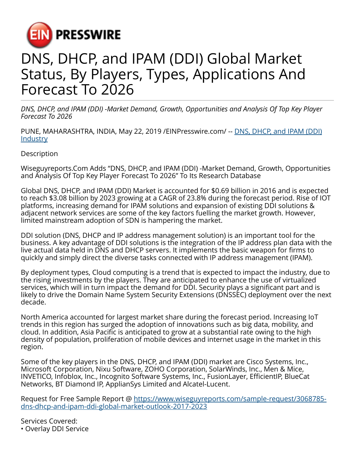

## DNS, DHCP, and IPAM (DDI) Global Market Status, By Players, Types, Applications And Forecast To 2026

*DNS, DHCP, and IPAM (DDI) -Market Demand, Growth, Opportunities and Analysis Of Top Key Player Forecast To 2026*

PUNE, MAHARASHTRA, INDIA, May 22, 2019 [/EINPresswire.com](http://www.einpresswire.com)/ -- [DNS, DHCP, and IPAM \(DDI\)](https://www.wiseguyreports.com/sample-request/3068785-dns-dhcp-and-ipam-ddi-global-market-outlook-2017-2023) **[Industry](https://www.wiseguyreports.com/sample-request/3068785-dns-dhcp-and-ipam-ddi-global-market-outlook-2017-2023)** 

**Description** 

Wiseguyreports.Com Adds "DNS, DHCP, and IPAM (DDI) -Market Demand, Growth, Opportunities and Analysis Of Top Key Player Forecast To 2026" To Its Research Database

Global DNS, DHCP, and IPAM (DDI) Market is accounted for \$0.69 billion in 2016 and is expected to reach \$3.08 billion by 2023 growing at a CAGR of 23.8% during the forecast period. Rise of IOT platforms, increasing demand for IPAM solutions and expansion of existing DDI solutions & adjacent network services are some of the key factors fuelling the market growth. However, limited mainstream adoption of SDN is hampering the market.

DDI solution (DNS, DHCP and IP address management solution) is an important tool for the business. A key advantage of DDI solutions is the integration of the IP address plan data with the live actual data held in DNS and DHCP servers. It implements the basic weapon for firms to quickly and simply direct the diverse tasks connected with IP address management (IPAM).

By deployment types, Cloud computing is a trend that is expected to impact the industry, due to the rising investments by the players. They are anticipated to enhance the use of virtualized services, which will in turn impact the demand for DDI. Security plays a significant part and is likely to drive the Domain Name System Security Extensions (DNSSEC) deployment over the next decade.

North America accounted for largest market share during the forecast period. Increasing IoT trends in this region has surged the adoption of innovations such as big data, mobility, and cloud. In addition, Asia Pacific is anticipated to grow at a substantial rate owing to the high density of population, proliferation of mobile devices and internet usage in the market in this region.

Some of the key players in the DNS, DHCP, and IPAM (DDI) market are Cisco Systems, Inc., Microsoft Corporation, Nixu Software, ZOHO Corporation, SolarWinds, Inc., Men & Mice, INVETICO, Infoblox, Inc., Incognito Software Systems, Inc., FusionLayer, EfficientIP, BlueCat Networks, BT Diamond IP, ApplianSys Limited and Alcatel-Lucent.

Request for Free Sample Report @ [https://www.wiseguyreports.com/sample-request/3068785](https://www.wiseguyreports.com/sample-request/3068785-dns-dhcp-and-ipam-ddi-global-market-outlook-2017-2023) [dns-dhcp-and-ipam-ddi-global-market-outlook-2017-2023](https://www.wiseguyreports.com/sample-request/3068785-dns-dhcp-and-ipam-ddi-global-market-outlook-2017-2023)

Services Covered: • Overlay DDI Service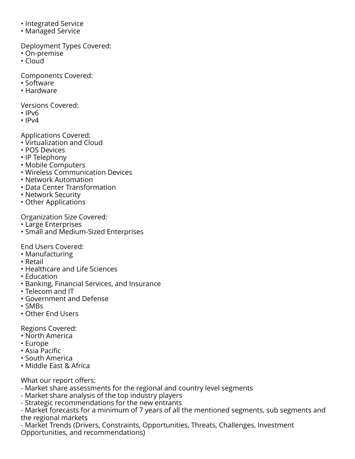- Integrated Service
- Managed Service

Deployment Types Covered:

- On-premise
- Cloud

Components Covered:

- Software
- Hardware

Versions Covered:

- IPv6
- $\cdot$  IPv4

Applications Covered:

- Virtualization and Cloud
- POS Devices
- IP Telephony
- Mobile Computers
- Wireless Communication Devices
- Network Automation
- Data Center Transformation
- Network Security
- Other Applications

Organization Size Covered:

- Large Enterprises
- Small and Medium-Sized Enterprises

End Users Covered:

- Manufacturing
- Retail
- Healthcare and Life Sciences
- Education
- Banking, Financial Services, and Insurance
- Telecom and IT
- Government and Defense
- SMBs
- Other End Users

Regions Covered:

- North America
- Europe
- Asia Pacific
- South America
- Middle East & Africa

What our report offers:

- Market share assessments for the regional and country level segments
- Market share analysis of the top industry players
- Strategic recommendations for the new entrants

- Market forecasts for a minimum of 7 years of all the mentioned segments, sub segments and the regional markets

- Market Trends (Drivers, Constraints, Opportunities, Threats, Challenges, Investment Opportunities, and recommendations)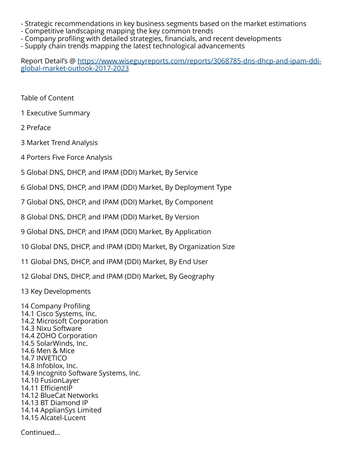- Strategic recommendations in key business segments based on the market estimations
- Competitive landscaping mapping the key common trends
- Company profiling with detailed strategies, financials, and recent developments
- Supply chain trends mapping the latest technological advancements

Report Detail's @ [https://www.wiseguyreports.com/reports/3068785-dns-dhcp-and-ipam-ddi](https://www.wiseguyreports.com/reports/3068785-dns-dhcp-and-ipam-ddi-global-market-outlook-2017-2023)[global-market-outlook-2017-2023](https://www.wiseguyreports.com/reports/3068785-dns-dhcp-and-ipam-ddi-global-market-outlook-2017-2023)

Table of Content

1 Executive Summary

2 Preface

3 Market Trend Analysis

4 Porters Five Force Analysis

5 Global DNS, DHCP, and IPAM (DDI) Market, By Service

6 Global DNS, DHCP, and IPAM (DDI) Market, By Deployment Type

7 Global DNS, DHCP, and IPAM (DDI) Market, By Component

8 Global DNS, DHCP, and IPAM (DDI) Market, By Version

9 Global DNS, DHCP, and IPAM (DDI) Market, By Application

10 Global DNS, DHCP, and IPAM (DDI) Market, By Organization Size

11 Global DNS, DHCP, and IPAM (DDI) Market, By End User

12 Global DNS, DHCP, and IPAM (DDI) Market, By Geography

13 Key Developments

14 Company Profiling 14.1 Cisco Systems, Inc. 14.2 Microsoft Corporation 14.3 Nixu Software 14.4 ZOHO Corporation 14.5 SolarWinds, Inc. 14.6 Men & Mice 14.7 INVETICO 14.8 Infoblox, Inc. 14.9 Incognito Software Systems, Inc. 14.10 FusionLayer 14.11 EfficientIP 14.12 BlueCat Networks 14.13 BT Diamond IP 14.14 ApplianSys Limited 14.15 Alcatel-Lucent

Continued...